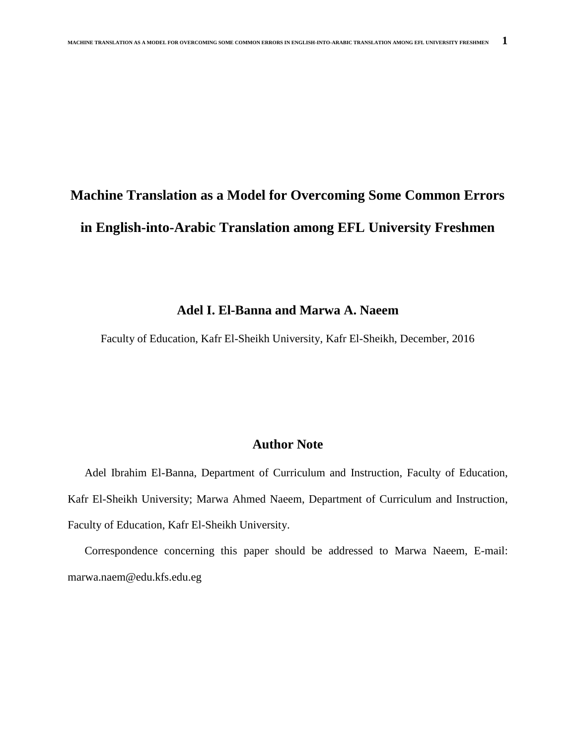# **Machine Translation as a Model for Overcoming Some Common Errors in English-into-Arabic Translation among EFL University Freshmen**

# **Adel I. El-Banna and Marwa A. Naeem**

Faculty of Education, Kafr El-Sheikh University, Kafr El-Sheikh, December, 2016

# **Author Note**

 Adel Ibrahim El-Banna, Department of Curriculum and Instruction, Faculty of Education, Kafr El-Sheikh University; Marwa Ahmed Naeem, Department of Curriculum and Instruction, Faculty of Education, Kafr El-Sheikh University.

 Correspondence concerning this paper should be addressed to Marwa Naeem, E-mail: marwa.naem@edu.kfs.edu.eg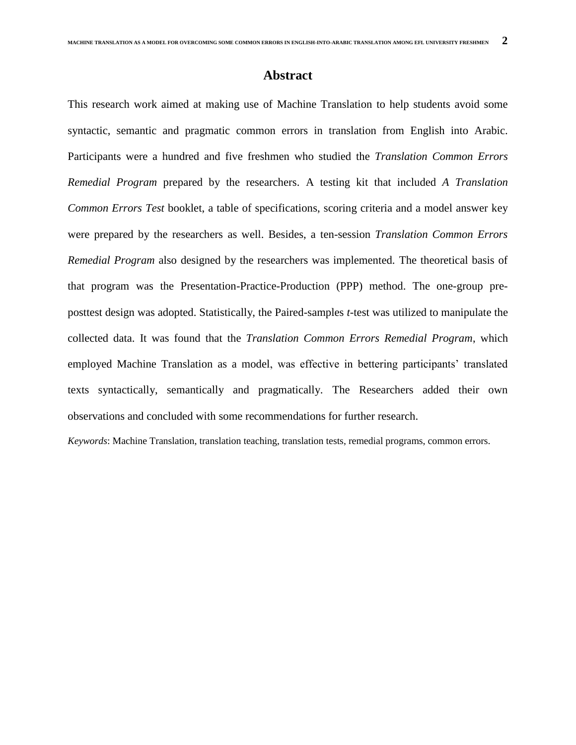## **Abstract**

This research work aimed at making use of Machine Translation to help students avoid some syntactic, semantic and pragmatic common errors in translation from English into Arabic. Participants were a hundred and five freshmen who studied the *Translation Common Errors Remedial Program* prepared by the researchers. A testing kit that included *A Translation Common Errors Test* booklet, a table of specifications, scoring criteria and a model answer key were prepared by the researchers as well. Besides, a ten-session *Translation Common Errors Remedial Program* also designed by the researchers was implemented. The theoretical basis of that program was the Presentation-Practice-Production (PPP) method. The one-group preposttest design was adopted. Statistically, the Paired-samples *t*-test was utilized to manipulate the collected data. It was found that the *Translation Common Errors Remedial Program*, which employed Machine Translation as a model, was effective in bettering participants' translated texts syntactically, semantically and pragmatically. The Researchers added their own observations and concluded with some recommendations for further research.

*Keywords*: Machine Translation, translation teaching, translation tests, remedial programs, common errors.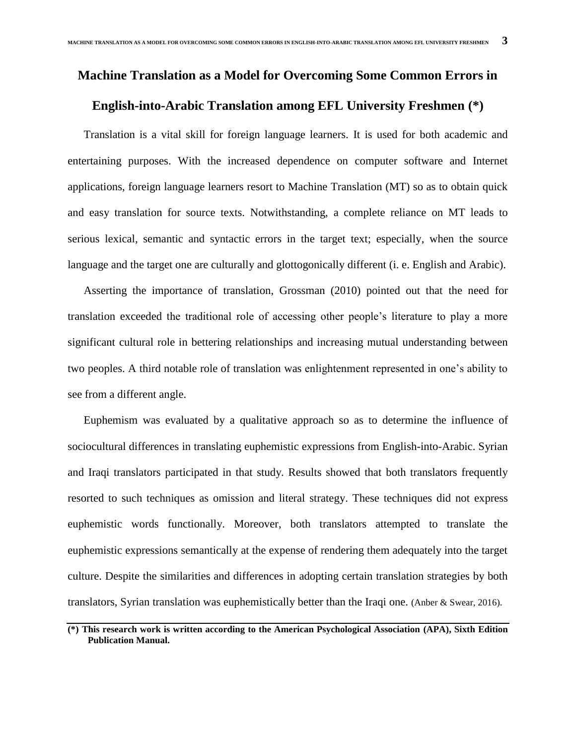### **Machine Translation as a Model for Overcoming Some Common Errors in**

## **English-into-Arabic Translation among EFL University Freshmen (\*)**

Translation is a vital skill for foreign language learners. It is used for both academic and entertaining purposes. With the increased dependence on computer software and Internet applications, foreign language learners resort to Machine Translation (MT) so as to obtain quick and easy translation for source texts. Notwithstanding, a complete reliance on MT leads to serious lexical, semantic and syntactic errors in the target text; especially, when the source language and the target one are culturally and glottogonically different (i. e. English and Arabic).

Asserting the importance of translation, Grossman (2010) pointed out that the need for translation exceeded the traditional role of accessing other people's literature to play a more significant cultural role in bettering relationships and increasing mutual understanding between two peoples. A third notable role of translation was enlightenment represented in one's ability to see from a different angle.

Euphemism was evaluated by a qualitative approach so as to determine the influence of sociocultural differences in translating euphemistic expressions from English-into-Arabic. Syrian and Iraqi translators participated in that study. Results showed that both translators frequently resorted to such techniques as omission and literal strategy. These techniques did not express euphemistic words functionally. Moreover, both translators attempted to translate the euphemistic expressions semantically at the expense of rendering them adequately into the target culture. Despite the similarities and differences in adopting certain translation strategies by both translators, Syrian translation was euphemistically better than the Iraqi one. (Anber & Swear, 2016).

**<sup>(\*)</sup> This research work is written according to the American Psychological Association (APA), Sixth Edition Publication Manual.**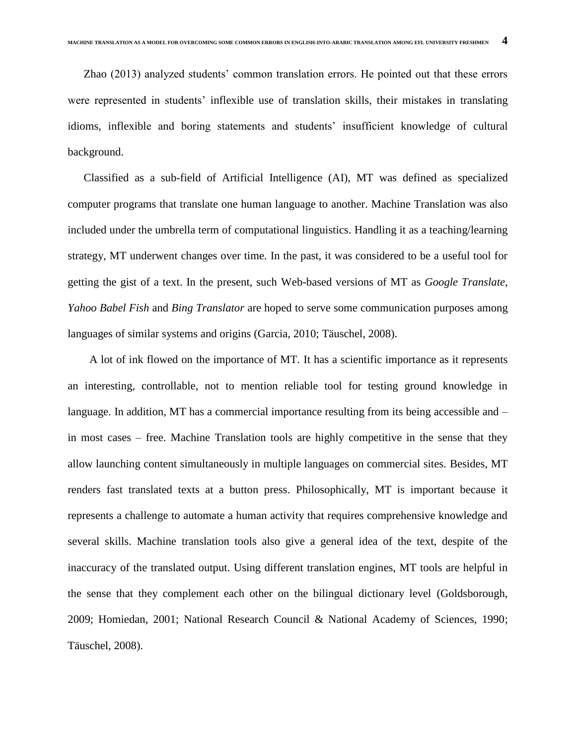Zhao (2013) analyzed students' common translation errors. He pointed out that these errors were represented in students' inflexible use of translation skills, their mistakes in translating idioms, inflexible and boring statements and students' insufficient knowledge of cultural background.

Classified as a sub-field of Artificial Intelligence (AI), MT was defined as specialized computer programs that translate one human language to another. Machine Translation was also included under the umbrella term of computational linguistics. Handling it as a teaching/learning strategy, MT underwent changes over time. In the past, it was considered to be a useful tool for getting the gist of a text. In the present, such Web-based versions of MT as *Google Translate*, *Yahoo Babel Fish* and *Bing Translator* are hoped to serve some communication purposes among languages of similar systems and origins (Garcia, 2010; Täuschel, 2008).

 A lot of ink flowed on the importance of MT. It has a scientific importance as it represents an interesting, controllable, not to mention reliable tool for testing ground knowledge in language. In addition, MT has a commercial importance resulting from its being accessible and – in most cases – free. Machine Translation tools are highly competitive in the sense that they allow launching content simultaneously in multiple languages on commercial sites. Besides, MT renders fast translated texts at a button press. Philosophically, MT is important because it represents a challenge to automate a human activity that requires comprehensive knowledge and several skills. Machine translation tools also give a general idea of the text, despite of the inaccuracy of the translated output. Using different translation engines, MT tools are helpful in the sense that they complement each other on the bilingual dictionary level (Goldsborough, 2009; Homiedan, 2001; National Research Council & National Academy of Sciences, 1990; Täuschel, 2008).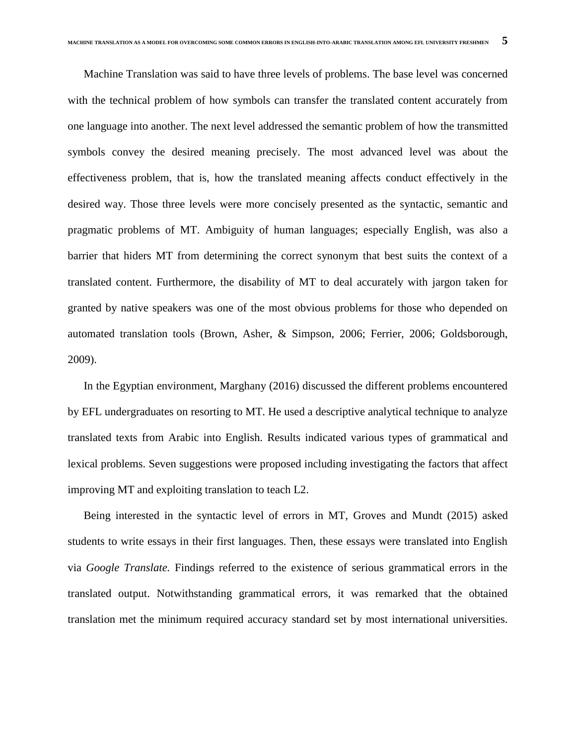Machine Translation was said to have three levels of problems. The base level was concerned with the technical problem of how symbols can transfer the translated content accurately from one language into another. The next level addressed the semantic problem of how the transmitted symbols convey the desired meaning precisely. The most advanced level was about the effectiveness problem, that is, how the translated meaning affects conduct effectively in the desired way. Those three levels were more concisely presented as the syntactic, semantic and pragmatic problems of MT. Ambiguity of human languages; especially English, was also a barrier that hiders MT from determining the correct synonym that best suits the context of a translated content. Furthermore, the disability of MT to deal accurately with jargon taken for granted by native speakers was one of the most obvious problems for those who depended on automated translation tools (Brown, Asher, & Simpson, 2006; Ferrier, 2006; Goldsborough, 2009).

In the Egyptian environment, Marghany (2016) discussed the different problems encountered by EFL undergraduates on resorting to MT. He used a descriptive analytical technique to analyze translated texts from Arabic into English. Results indicated various types of grammatical and lexical problems. Seven suggestions were proposed including investigating the factors that affect improving MT and exploiting translation to teach L2.

Being interested in the syntactic level of errors in MT, Groves and Mundt (2015) asked students to write essays in their first languages. Then, these essays were translated into English via *Google Translate.* Findings referred to the existence of serious grammatical errors in the translated output. Notwithstanding grammatical errors, it was remarked that the obtained translation met the minimum required accuracy standard set by most international universities.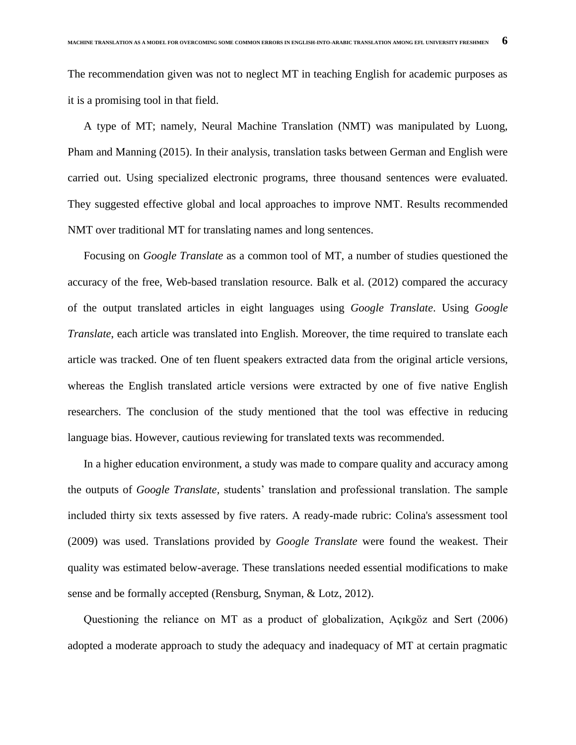The recommendation given was not to neglect MT in teaching English for academic purposes as it is a promising tool in that field.

A type of MT; namely, Neural Machine Translation (NMT) was manipulated by Luong, Pham and Manning (2015). In their analysis, translation tasks between German and English were carried out. Using specialized electronic programs, three thousand sentences were evaluated. They suggested effective global and local approaches to improve NMT. Results recommended NMT over traditional MT for translating names and long sentences.

Focusing on *Google Translate* as a common tool of MT, a number of studies questioned the accuracy of the free, Web-based translation resource. Balk et al. (2012) compared the accuracy of the output translated articles in eight languages using *Google Translate*. Using *Google Translate*, each article was translated into English. Moreover, the time required to translate each article was tracked. One of ten fluent speakers extracted data from the original article versions, whereas the English translated article versions were extracted by one of five native English researchers. The conclusion of the study mentioned that the tool was effective in reducing language bias. However, cautious reviewing for translated texts was recommended.

In a higher education environment, a study was made to compare quality and accuracy among the outputs of *Google Translate,* students' translation and professional translation. The sample included thirty six texts assessed by five raters. A ready-made rubric: Colina's assessment tool (2009) was used. Translations provided by *Google Translate* were found the weakest. Their quality was estimated below-average. These translations needed essential modifications to make sense and be formally accepted (Rensburg, Snyman, & Lotz, 2012).

Questioning the reliance on MT as a product of globalization, Açıkgöz and Sert (2006) adopted a moderate approach to study the adequacy and inadequacy of MT at certain pragmatic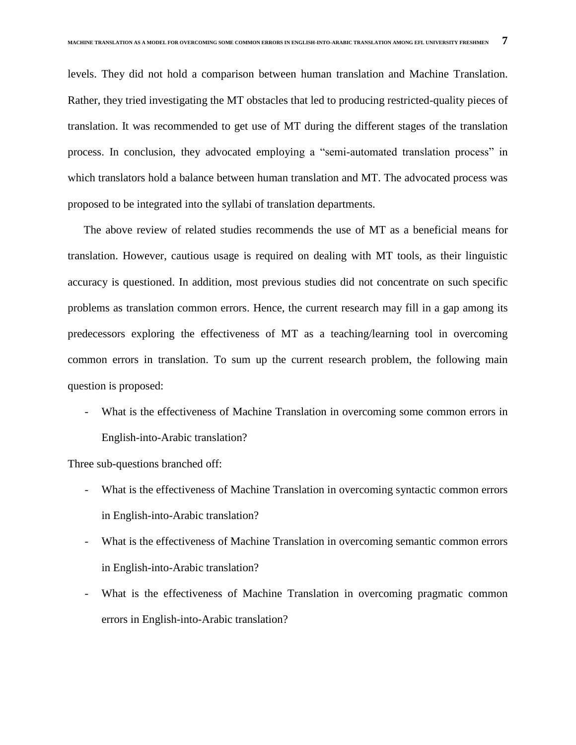levels. They did not hold a comparison between human translation and Machine Translation. Rather, they tried investigating the MT obstacles that led to producing restricted-quality pieces of translation. It was recommended to get use of MT during the different stages of the translation process. In conclusion, they advocated employing a "semi-automated translation process" in which translators hold a balance between human translation and MT. The advocated process was proposed to be integrated into the syllabi of translation departments.

The above review of related studies recommends the use of MT as a beneficial means for translation. However, cautious usage is required on dealing with MT tools, as their linguistic accuracy is questioned. In addition, most previous studies did not concentrate on such specific problems as translation common errors. Hence, the current research may fill in a gap among its predecessors exploring the effectiveness of MT as a teaching/learning tool in overcoming common errors in translation. To sum up the current research problem, the following main question is proposed:

What is the effectiveness of Machine Translation in overcoming some common errors in English-into-Arabic translation?

Three sub-questions branched off:

- What is the effectiveness of Machine Translation in overcoming syntactic common errors in English-into-Arabic translation?
- What is the effectiveness of Machine Translation in overcoming semantic common errors in English-into-Arabic translation?
- What is the effectiveness of Machine Translation in overcoming pragmatic common errors in English-into-Arabic translation?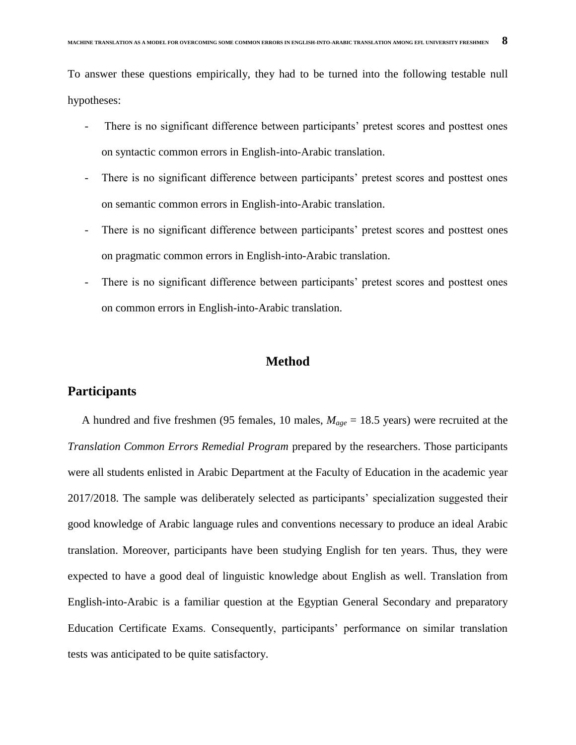To answer these questions empirically, they had to be turned into the following testable null hypotheses:

- There is no significant difference between participants' pretest scores and posttest ones on syntactic common errors in English-into-Arabic translation.
- There is no significant difference between participants' pretest scores and posttest ones on semantic common errors in English-into-Arabic translation.
- There is no significant difference between participants' pretest scores and posttest ones on pragmatic common errors in English-into-Arabic translation.
- There is no significant difference between participants' pretest scores and posttest ones on common errors in English-into-Arabic translation.

# **Method**

## **Participants**

 A hundred and five freshmen (95 females, 10 males, *Mage* = 18.5 years) were recruited at the *Translation Common Errors Remedial Program* prepared by the researchers. Those participants were all students enlisted in Arabic Department at the Faculty of Education in the academic year 2017/2018. The sample was deliberately selected as participants' specialization suggested their good knowledge of Arabic language rules and conventions necessary to produce an ideal Arabic translation. Moreover, participants have been studying English for ten years. Thus, they were expected to have a good deal of linguistic knowledge about English as well. Translation from English-into-Arabic is a familiar question at the Egyptian General Secondary and preparatory Education Certificate Exams. Consequently, participants' performance on similar translation tests was anticipated to be quite satisfactory.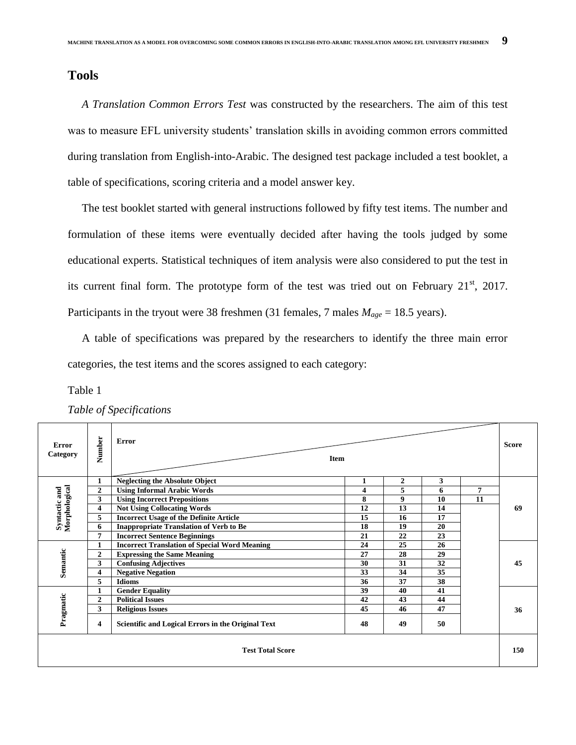# **Tools**

 *A Translation Common Errors Test* was constructed by the researchers. The aim of this test was to measure EFL university students' translation skills in avoiding common errors committed during translation from English-into-Arabic. The designed test package included a test booklet, a table of specifications, scoring criteria and a model answer key.

 The test booklet started with general instructions followed by fifty test items. The number and formulation of these items were eventually decided after having the tools judged by some educational experts. Statistical techniques of item analysis were also considered to put the test in its current final form. The prototype form of the test was tried out on February  $21<sup>st</sup>$ ,  $2017$ . Participants in the tryout were 38 freshmen (31 females, 7 males  $M_{age} = 18.5$  years).

 A table of specifications was prepared by the researchers to identify the three main error categories, the test items and the scores assigned to each category:

Table 1

 $\top$ 

| Error<br>Category       | Number         | Error<br><b>Item</b>                                 |    |              |    |     | <b>Score</b> |
|-------------------------|----------------|------------------------------------------------------|----|--------------|----|-----|--------------|
|                         |                | <b>Neglecting the Absolute Object</b>                |    | $\mathbf{2}$ | 3  |     |              |
| Morphological           | $\overline{2}$ | <b>Using Informal Arabic Words</b>                   | 4  | 5            | 6  | 7   |              |
| Syntactic and           | 3              | <b>Using Incorrect Prepositions</b>                  | 8  | 9            | 10 | 11  |              |
|                         | 4              | <b>Not Using Collocating Words</b>                   | 12 | 13           | 14 |     | 69           |
|                         | 5              | <b>Incorrect Usage of the Definite Article</b>       | 15 | 16           | 17 |     |              |
|                         | 6              | <b>Inappropriate Translation of Verb to Be</b>       | 18 | 19           | 20 |     |              |
|                         | 7              | <b>Incorrect Sentence Beginnings</b>                 | 21 | 22           | 23 |     |              |
|                         |                | <b>Incorrect Translation of Special Word Meaning</b> | 24 | 25           | 26 |     |              |
| Semantic                | $\overline{2}$ | <b>Expressing the Same Meaning</b>                   | 27 | 28           | 29 |     |              |
|                         | 3              | <b>Confusing Adjectives</b>                          | 30 | 31           | 32 |     | 45           |
|                         | 4              | <b>Negative Negation</b>                             | 33 | 34           | 35 |     |              |
|                         | 5              | <b>Idioms</b>                                        | 36 | 37           | 38 |     |              |
|                         |                | <b>Gender Equality</b>                               | 39 | 40           | 41 |     |              |
|                         | $\mathbf{2}$   | <b>Political Issues</b>                              | 42 | 43           | 44 |     |              |
|                         | 3              | <b>Religious Issues</b>                              | 45 | 46           | 47 |     | 36           |
| Pragmatic               | 4              | Scientific and Logical Errors in the Original Text   | 48 | 49           | 50 |     |              |
| <b>Test Total Score</b> |                |                                                      |    |              |    | 150 |              |

*Table of Specifications*

 $\overline{\phantom{a}}$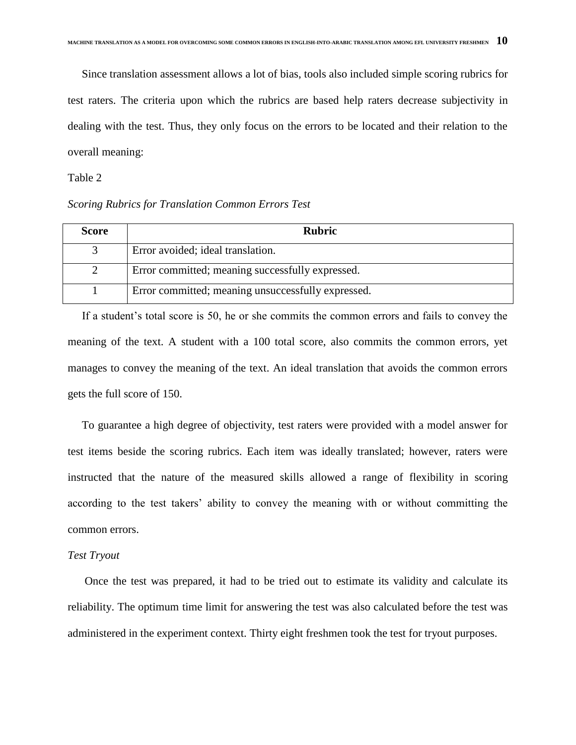Since translation assessment allows a lot of bias, tools also included simple scoring rubrics for test raters. The criteria upon which the rubrics are based help raters decrease subjectivity in dealing with the test. Thus, they only focus on the errors to be located and their relation to the overall meaning:

#### Table 2

#### *Scoring Rubrics for Translation Common Errors Test*

| <b>Score</b> | <b>Rubric</b>                                      |
|--------------|----------------------------------------------------|
|              | Error avoided; ideal translation.                  |
|              | Error committed; meaning successfully expressed.   |
|              | Error committed; meaning unsuccessfully expressed. |

If a student's total score is 50, he or she commits the common errors and fails to convey the meaning of the text. A student with a 100 total score, also commits the common errors, yet manages to convey the meaning of the text. An ideal translation that avoids the common errors gets the full score of 150.

 To guarantee a high degree of objectivity, test raters were provided with a model answer for test items beside the scoring rubrics. Each item was ideally translated; however, raters were instructed that the nature of the measured skills allowed a range of flexibility in scoring according to the test takers' ability to convey the meaning with or without committing the common errors.

#### *Test Tryout*

 Once the test was prepared, it had to be tried out to estimate its validity and calculate its reliability. The optimum time limit for answering the test was also calculated before the test was administered in the experiment context. Thirty eight freshmen took the test for tryout purposes.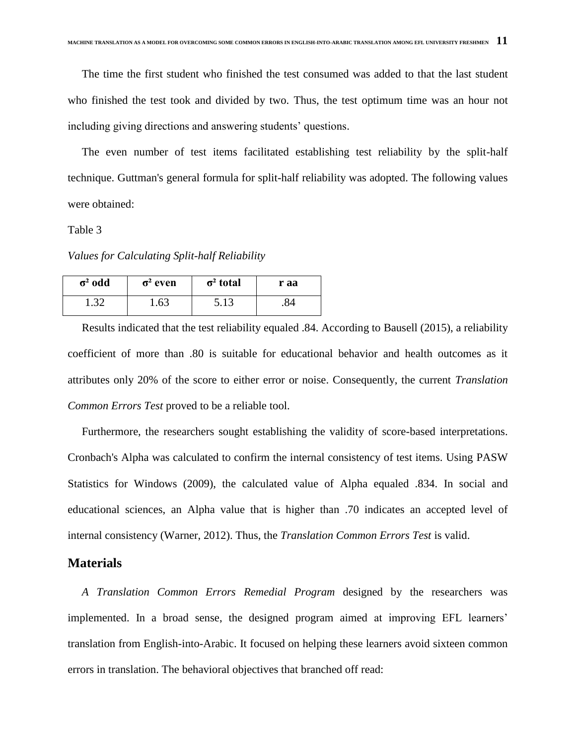The time the first student who finished the test consumed was added to that the last student who finished the test took and divided by two. Thus, the test optimum time was an hour not including giving directions and answering students' questions.

 The even number of test items facilitated establishing test reliability by the split-half technique. Guttman's general formula for split-half reliability was adopted. The following values were obtained:

Table 3

*Values for Calculating Split-half Reliability* 

| $\sigma^2$ odd | $\sigma^2$ even | $\sigma^2$ total | r aa |
|----------------|-----------------|------------------|------|
| 1.32           | 1.63            | 5.13             | .84  |

 Results indicated that the test reliability equaled .84. According to Bausell (2015), a reliability coefficient of more than .80 is suitable for educational behavior and health outcomes as it attributes only 20% of the score to either error or noise. Consequently, the current *Translation Common Errors Test* proved to be a reliable tool.

 Furthermore, the researchers sought establishing the validity of score-based interpretations. Cronbach's Alpha was calculated to confirm the internal consistency of test items. Using PASW Statistics for Windows (2009), the calculated value of Alpha equaled .834. In social and educational sciences, an Alpha value that is higher than .70 indicates an accepted level of internal consistency (Warner, 2012). Thus, the *Translation Common Errors Test* is valid.

## **Materials**

 *A Translation Common Errors Remedial Program* designed by the researchers was implemented. In a broad sense, the designed program aimed at improving EFL learners' translation from English-into-Arabic. It focused on helping these learners avoid sixteen common errors in translation. The behavioral objectives that branched off read: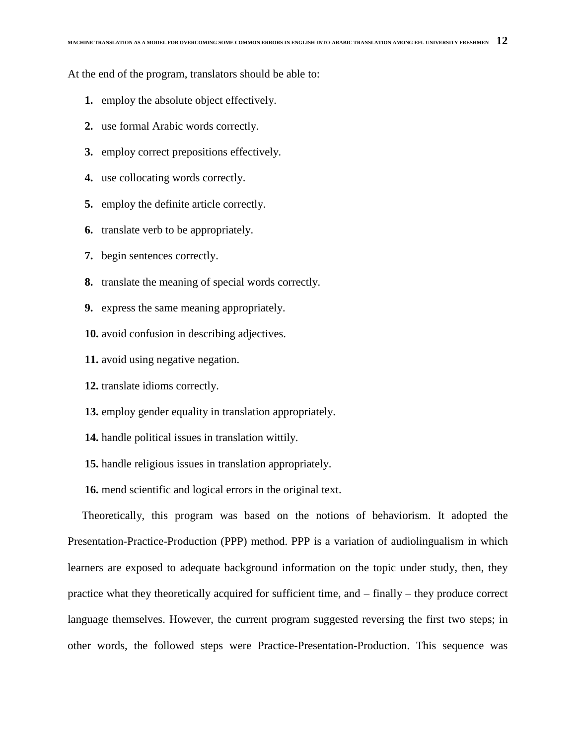At the end of the program, translators should be able to:

- **1.** employ the absolute object effectively.
- **2.** use formal Arabic words correctly.
- **3.** employ correct prepositions effectively.
- **4.** use collocating words correctly.
- **5.** employ the definite article correctly.
- **6.** translate verb to be appropriately.
- **7.** begin sentences correctly.
- **8.** translate the meaning of special words correctly.
- **9.** express the same meaning appropriately.
- **10.** avoid confusion in describing adjectives.
- **11.** avoid using negative negation.
- **12.** translate idioms correctly.
- **13.** employ gender equality in translation appropriately.
- **14.** handle political issues in translation wittily.
- **15.** handle religious issues in translation appropriately.
- **16.** mend scientific and logical errors in the original text.

 Theoretically, this program was based on the notions of behaviorism. It adopted the Presentation-Practice-Production (PPP) method. PPP is a variation of audiolingualism in which learners are exposed to adequate background information on the topic under study, then, they practice what they theoretically acquired for sufficient time, and – finally – they produce correct language themselves. However, the current program suggested reversing the first two steps; in other words, the followed steps were Practice-Presentation-Production. This sequence was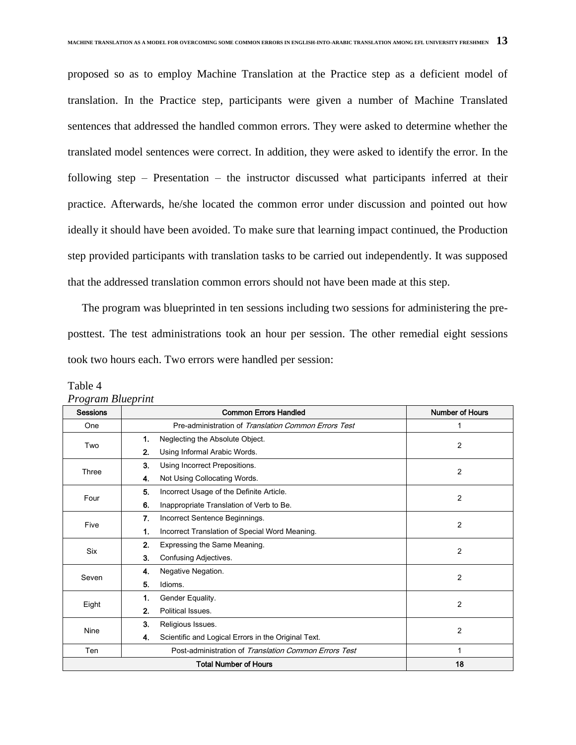proposed so as to employ Machine Translation at the Practice step as a deficient model of translation. In the Practice step, participants were given a number of Machine Translated sentences that addressed the handled common errors. They were asked to determine whether the translated model sentences were correct. In addition, they were asked to identify the error. In the following step – Presentation – the instructor discussed what participants inferred at their practice. Afterwards, he/she located the common error under discussion and pointed out how ideally it should have been avoided. To make sure that learning impact continued, the Production step provided participants with translation tasks to be carried out independently. It was supposed that the addressed translation common errors should not have been made at this step.

 The program was blueprinted in ten sessions including two sessions for administering the preposttest. The test administrations took an hour per session. The other remedial eight sessions took two hours each. Two errors were handled per session:

| $\circ$<br><b>Sessions</b> | <b>Common Errors Handled</b>                              | <b>Number of Hours</b> |
|----------------------------|-----------------------------------------------------------|------------------------|
| One                        | Pre-administration of Translation Common Errors Test      | 1                      |
| Two                        | Neglecting the Absolute Object.<br>1.                     | 2                      |
|                            | 2.<br>Using Informal Arabic Words.                        |                        |
| Three                      | 3.<br>Using Incorrect Prepositions.                       | 2                      |
|                            | Not Using Collocating Words.<br>4.                        |                        |
| Four                       | 5.<br>Incorrect Usage of the Definite Article.            | 2                      |
|                            | 6.<br>Inappropriate Translation of Verb to Be.            |                        |
| Five                       | 7.<br>Incorrect Sentence Beginnings.                      |                        |
|                            | Incorrect Translation of Special Word Meaning.<br>1.      | 2                      |
|                            | 2.<br>Expressing the Same Meaning.                        |                        |
| Six                        | Confusing Adjectives.<br>3.                               | $\overline{2}$         |
|                            | Negative Negation.<br>4.                                  |                        |
| Seven                      | 5.<br>Idioms.                                             | 2                      |
|                            | Gender Equality.<br>1.                                    |                        |
| Eight                      | Political Issues.<br>2.                                   | 2                      |
|                            | 3.<br>Religious Issues.                                   |                        |
| Nine                       | Scientific and Logical Errors in the Original Text.<br>4. | 2                      |
| Ten                        | Post-administration of Translation Common Errors Test     |                        |
|                            | <b>Total Number of Hours</b>                              | 18                     |

Table 4 *Program Blueprint*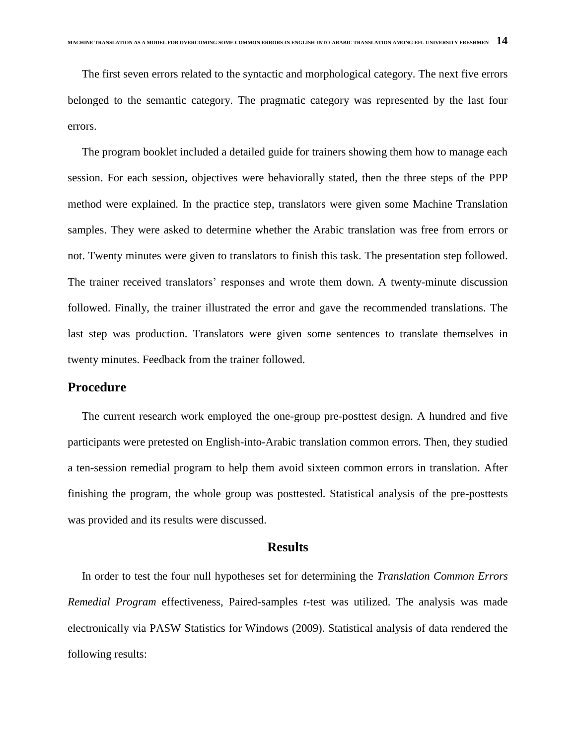The first seven errors related to the syntactic and morphological category. The next five errors belonged to the semantic category. The pragmatic category was represented by the last four errors.

 The program booklet included a detailed guide for trainers showing them how to manage each session. For each session, objectives were behaviorally stated, then the three steps of the PPP method were explained. In the practice step, translators were given some Machine Translation samples. They were asked to determine whether the Arabic translation was free from errors or not. Twenty minutes were given to translators to finish this task. The presentation step followed. The trainer received translators' responses and wrote them down. A twenty-minute discussion followed. Finally, the trainer illustrated the error and gave the recommended translations. The last step was production. Translators were given some sentences to translate themselves in twenty minutes. Feedback from the trainer followed.

## **Procedure**

 The current research work employed the one-group pre-posttest design. A hundred and five participants were pretested on English-into-Arabic translation common errors. Then, they studied a ten-session remedial program to help them avoid sixteen common errors in translation. After finishing the program, the whole group was posttested. Statistical analysis of the pre-posttests was provided and its results were discussed.

#### **Results**

 In order to test the four null hypotheses set for determining the *Translation Common Errors Remedial Program* effectiveness, Paired-samples *t*-test was utilized. The analysis was made electronically via PASW Statistics for Windows (2009). Statistical analysis of data rendered the following results: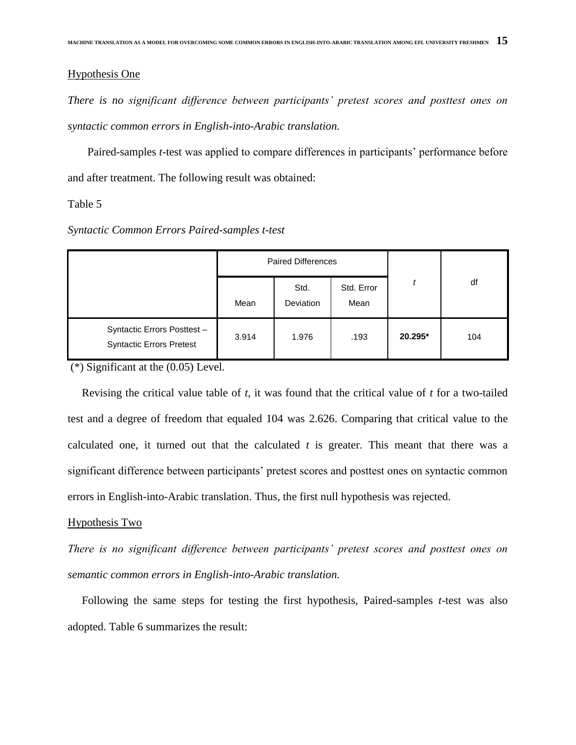#### Hypothesis One

*There is no significant difference between participants' pretest scores and posttest ones on syntactic common errors in English-into-Arabic translation.*

Paired-samples *t*-test was applied to compare differences in participants' performance before and after treatment. The following result was obtained:

Table 5

|                                                               | <b>Paired Differences</b> |                   |                    |         |     |  |
|---------------------------------------------------------------|---------------------------|-------------------|--------------------|---------|-----|--|
|                                                               | Mean                      | Std.<br>Deviation | Std. Error<br>Mean |         | df  |  |
| Syntactic Errors Posttest-<br><b>Syntactic Errors Pretest</b> | 3.914                     | 1.976             | .193               | 20.295* | 104 |  |

(\*) Significant at the (0.05) Level.

 Revising the critical value table of *t*, it was found that the critical value of *t* for a two-tailed test and a degree of freedom that equaled 104 was 2.626. Comparing that critical value to the calculated one, it turned out that the calculated *t* is greater. This meant that there was a significant difference between participants' pretest scores and posttest ones on syntactic common errors in English-into-Arabic translation. Thus, the first null hypothesis was rejected.

#### Hypothesis Two

*There is no significant difference between participants' pretest scores and posttest ones on semantic common errors in English-into-Arabic translation.*

 Following the same steps for testing the first hypothesis, Paired-samples *t*-test was also adopted. Table 6 summarizes the result: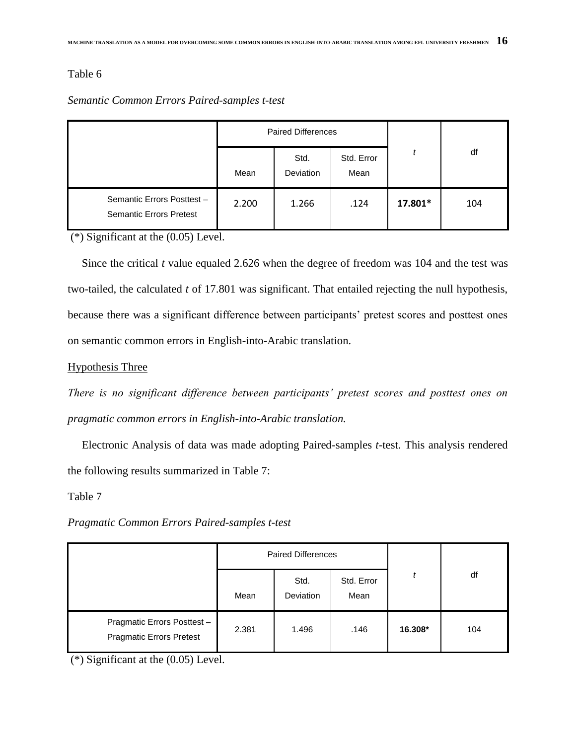## Table 6

## *Semantic Common Errors Paired-samples t-test*

|                                                             | <b>Paired Differences</b> |                          |                    |         |     |  |
|-------------------------------------------------------------|---------------------------|--------------------------|--------------------|---------|-----|--|
|                                                             | Mean                      | Std.<br><b>Deviation</b> | Std. Error<br>Mean |         | df  |  |
| Semantic Errors Posttest-<br><b>Semantic Errors Pretest</b> | 2.200                     | 1.266                    | .124               | 17.801* | 104 |  |

(\*) Significant at the (0.05) Level.

 Since the critical *t* value equaled 2.626 when the degree of freedom was 104 and the test was two-tailed, the calculated *t* of 17.801 was significant. That entailed rejecting the null hypothesis, because there was a significant difference between participants' pretest scores and posttest ones on semantic common errors in English-into-Arabic translation.

## Hypothesis Three

*There is no significant difference between participants' pretest scores and posttest ones on pragmatic common errors in English-into-Arabic translation.*

 Electronic Analysis of data was made adopting Paired-samples *t*-test. This analysis rendered the following results summarized in Table 7:

Table 7

*Pragmatic Common Errors Paired-samples t-test*

|                                                                | <b>Paired Differences</b> |                          |                    |         |     |
|----------------------------------------------------------------|---------------------------|--------------------------|--------------------|---------|-----|
|                                                                | Mean                      | Std.<br><b>Deviation</b> | Std. Error<br>Mean |         | df  |
| Pragmatic Errors Posttest -<br><b>Pragmatic Errors Pretest</b> | 2.381                     | 1.496                    | .146               | 16.308* | 104 |

(\*) Significant at the (0.05) Level.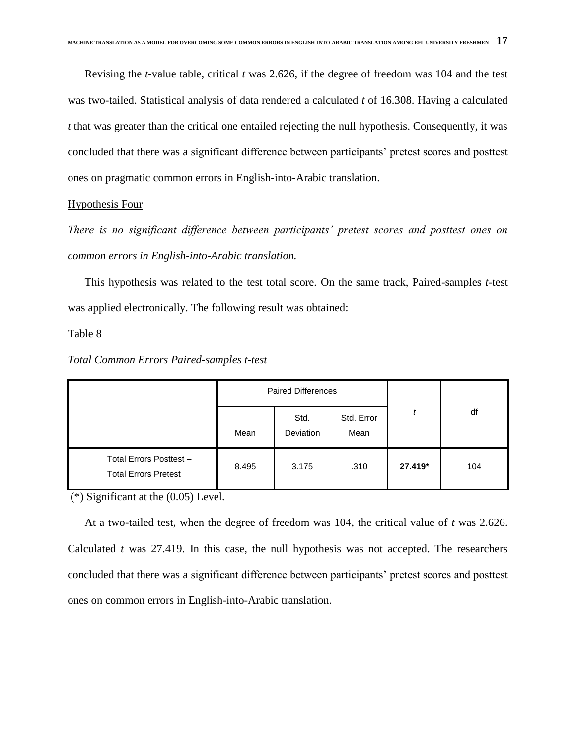Revising the *t*-value table, critical *t* was 2.626, if the degree of freedom was 104 and the test was two-tailed. Statistical analysis of data rendered a calculated *t* of 16.308. Having a calculated *t* that was greater than the critical one entailed rejecting the null hypothesis. Consequently, it was concluded that there was a significant difference between participants' pretest scores and posttest ones on pragmatic common errors in English-into-Arabic translation.

#### Hypothesis Four

*There is no significant difference between participants' pretest scores and posttest ones on common errors in English-into-Arabic translation.*

 This hypothesis was related to the test total score. On the same track, Paired-samples *t*-test was applied electronically. The following result was obtained:

#### Table 8

|                                                        | <b>Paired Differences</b> |                   |                    |         |     |
|--------------------------------------------------------|---------------------------|-------------------|--------------------|---------|-----|
|                                                        | Mean                      | Std.<br>Deviation | Std. Error<br>Mean |         | df  |
| Total Errors Posttest -<br><b>Total Errors Pretest</b> | 8.495                     | 3.175             | .310               | 27.419* | 104 |

#### *Total Common Errors Paired-samples t-test*

(\*) Significant at the (0.05) Level.

 At a two-tailed test, when the degree of freedom was 104, the critical value of *t* was 2.626. Calculated *t* was 27.419. In this case, the null hypothesis was not accepted. The researchers concluded that there was a significant difference between participants' pretest scores and posttest ones on common errors in English-into-Arabic translation.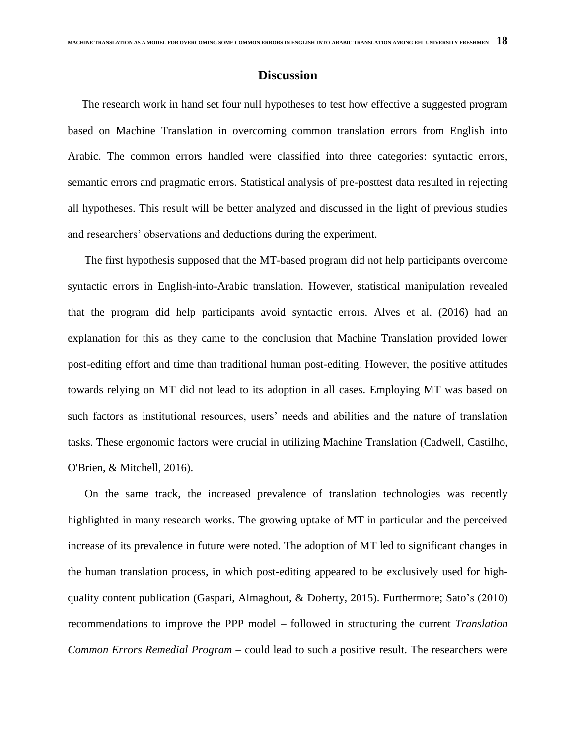## **Discussion**

 The research work in hand set four null hypotheses to test how effective a suggested program based on Machine Translation in overcoming common translation errors from English into Arabic. The common errors handled were classified into three categories: syntactic errors, semantic errors and pragmatic errors. Statistical analysis of pre-posttest data resulted in rejecting all hypotheses. This result will be better analyzed and discussed in the light of previous studies and researchers' observations and deductions during the experiment.

 The first hypothesis supposed that the MT-based program did not help participants overcome syntactic errors in English-into-Arabic translation. However, statistical manipulation revealed that the program did help participants avoid syntactic errors. Alves et al. (2016) had an explanation for this as they came to the conclusion that Machine Translation provided lower post-editing effort and time than traditional human post-editing. However, the positive attitudes towards relying on MT did not lead to its adoption in all cases. Employing MT was based on such factors as institutional resources, users' needs and abilities and the nature of translation tasks. These ergonomic factors were crucial in utilizing Machine Translation (Cadwell, Castilho, O'Brien, & Mitchell, 2016).

 On the same track, the increased prevalence of translation technologies was recently highlighted in many research works. The growing uptake of MT in particular and the perceived increase of its prevalence in future were noted. The adoption of MT led to significant changes in the human translation process, in which post-editing appeared to be exclusively used for highquality content publication (Gaspari, Almaghout, & Doherty, 2015). Furthermore; Sato's (2010) recommendations to improve the PPP model – followed in structuring the current *Translation Common Errors Remedial Program* – could lead to such a positive result. The researchers were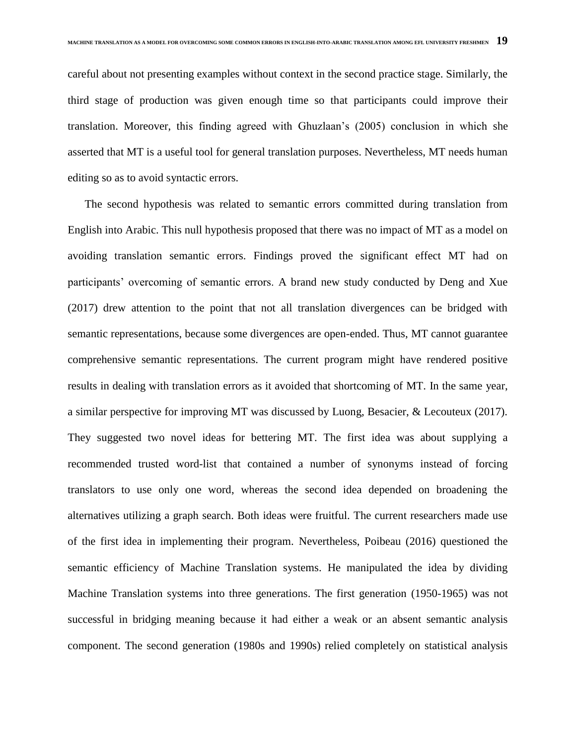careful about not presenting examples without context in the second practice stage. Similarly, the third stage of production was given enough time so that participants could improve their translation. Moreover, this finding agreed with Ghuzlaan's (2005) conclusion in which she asserted that MT is a useful tool for general translation purposes. Nevertheless, MT needs human editing so as to avoid syntactic errors.

 The second hypothesis was related to semantic errors committed during translation from English into Arabic. This null hypothesis proposed that there was no impact of MT as a model on avoiding translation semantic errors. Findings proved the significant effect MT had on participants' overcoming of semantic errors. A brand new study conducted by Deng and Xue (2017) drew attention to the point that not all translation divergences can be bridged with semantic representations, because some divergences are open-ended. Thus, MT cannot guarantee comprehensive semantic representations. The current program might have rendered positive results in dealing with translation errors as it avoided that shortcoming of MT. In the same year, a similar perspective for improving MT was discussed by Luong, Besacier, & Lecouteux (2017). They suggested two novel ideas for bettering MT. The first idea was about supplying a recommended trusted word-list that contained a number of synonyms instead of forcing translators to use only one word, whereas the second idea depended on broadening the alternatives utilizing a graph search. Both ideas were fruitful. The current researchers made use of the first idea in implementing their program. Nevertheless, Poibeau (2016) questioned the semantic efficiency of Machine Translation systems. He manipulated the idea by dividing Machine Translation systems into three generations. The first generation (1950-1965) was not successful in bridging meaning because it had either a weak or an absent semantic analysis component. The second generation (1980s and 1990s) relied completely on statistical analysis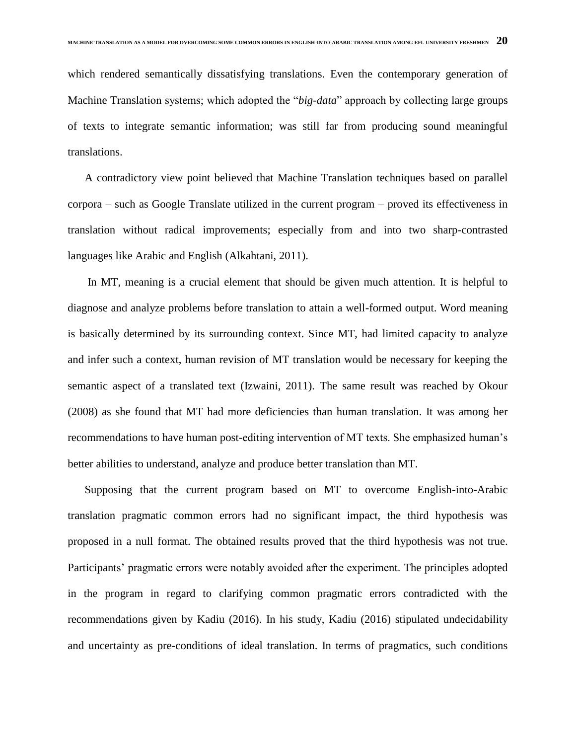which rendered semantically dissatisfying translations. Even the contemporary generation of Machine Translation systems; which adopted the "*big-data*" approach by collecting large groups of texts to integrate semantic information; was still far from producing sound meaningful translations.

 A contradictory view point believed that Machine Translation techniques based on parallel corpora – such as Google Translate utilized in the current program – proved its effectiveness in translation without radical improvements; especially from and into two sharp-contrasted languages like Arabic and English (Alkahtani, 2011).

 In MT, meaning is a crucial element that should be given much attention. It is helpful to diagnose and analyze problems before translation to attain a well-formed output. Word meaning is basically determined by its surrounding context. Since MT, had limited capacity to analyze and infer such a context, human revision of MT translation would be necessary for keeping the semantic aspect of a translated text (Izwaini, 2011). The same result was reached by Okour (2008) as she found that MT had more deficiencies than human translation. It was among her recommendations to have human post-editing intervention of MT texts. She emphasized human's better abilities to understand, analyze and produce better translation than MT.

 Supposing that the current program based on MT to overcome English-into-Arabic translation pragmatic common errors had no significant impact, the third hypothesis was proposed in a null format. The obtained results proved that the third hypothesis was not true. Participants' pragmatic errors were notably avoided after the experiment. The principles adopted in the program in regard to clarifying common pragmatic errors contradicted with the recommendations given by Kadiu (2016). In his study, Kadiu (2016) stipulated undecidability and uncertainty as pre-conditions of ideal translation. In terms of pragmatics, such conditions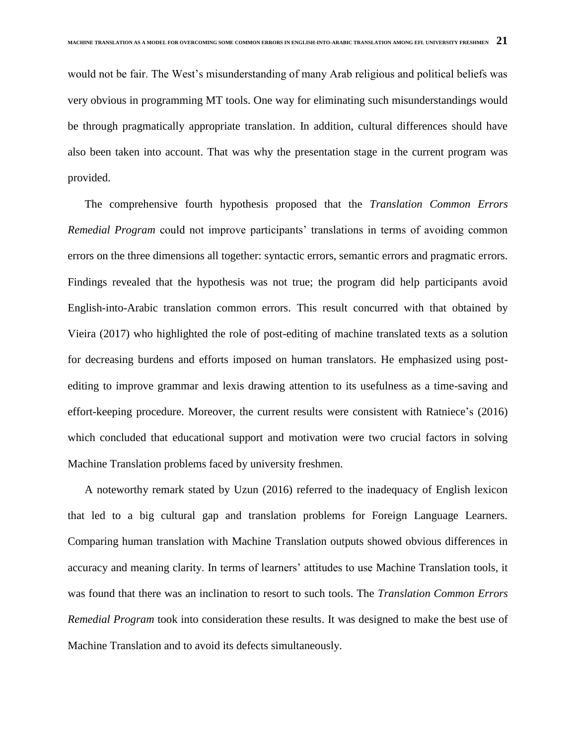would not be fair. The West's misunderstanding of many Arab religious and political beliefs was very obvious in programming MT tools. One way for eliminating such misunderstandings would be through pragmatically appropriate translation. In addition, cultural differences should have also been taken into account. That was why the presentation stage in the current program was provided.

 The comprehensive fourth hypothesis proposed that the *Translation Common Errors Remedial Program* could not improve participants' translations in terms of avoiding common errors on the three dimensions all together: syntactic errors, semantic errors and pragmatic errors. Findings revealed that the hypothesis was not true; the program did help participants avoid English-into-Arabic translation common errors. This result concurred with that obtained by Vieira (2017) who highlighted the role of post-editing of machine translated texts as a solution for decreasing burdens and efforts imposed on human translators. He emphasized using postediting to improve grammar and lexis drawing attention to its usefulness as a time-saving and effort-keeping procedure. Moreover, the current results were consistent with Ratniece's (2016) which concluded that educational support and motivation were two crucial factors in solving Machine Translation problems faced by university freshmen.

 A noteworthy remark stated by Uzun (2016) referred to the inadequacy of English lexicon that led to a big cultural gap and translation problems for Foreign Language Learners. Comparing human translation with Machine Translation outputs showed obvious differences in accuracy and meaning clarity. In terms of learners' attitudes to use Machine Translation tools, it was found that there was an inclination to resort to such tools. The *Translation Common Errors Remedial Program* took into consideration these results. It was designed to make the best use of Machine Translation and to avoid its defects simultaneously.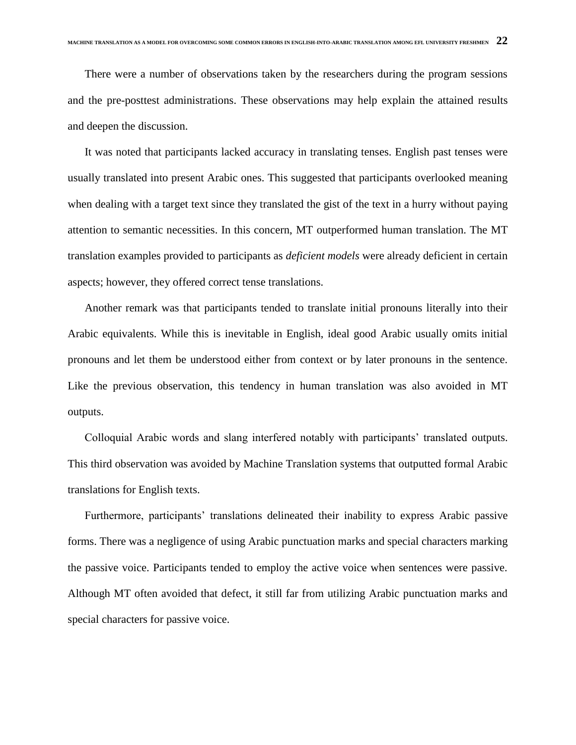There were a number of observations taken by the researchers during the program sessions and the pre-posttest administrations. These observations may help explain the attained results and deepen the discussion.

 It was noted that participants lacked accuracy in translating tenses. English past tenses were usually translated into present Arabic ones. This suggested that participants overlooked meaning when dealing with a target text since they translated the gist of the text in a hurry without paying attention to semantic necessities. In this concern, MT outperformed human translation. The MT translation examples provided to participants as *deficient models* were already deficient in certain aspects; however, they offered correct tense translations.

 Another remark was that participants tended to translate initial pronouns literally into their Arabic equivalents. While this is inevitable in English, ideal good Arabic usually omits initial pronouns and let them be understood either from context or by later pronouns in the sentence. Like the previous observation, this tendency in human translation was also avoided in MT outputs.

 Colloquial Arabic words and slang interfered notably with participants' translated outputs. This third observation was avoided by Machine Translation systems that outputted formal Arabic translations for English texts.

 Furthermore, participants' translations delineated their inability to express Arabic passive forms. There was a negligence of using Arabic punctuation marks and special characters marking the passive voice. Participants tended to employ the active voice when sentences were passive. Although MT often avoided that defect, it still far from utilizing Arabic punctuation marks and special characters for passive voice.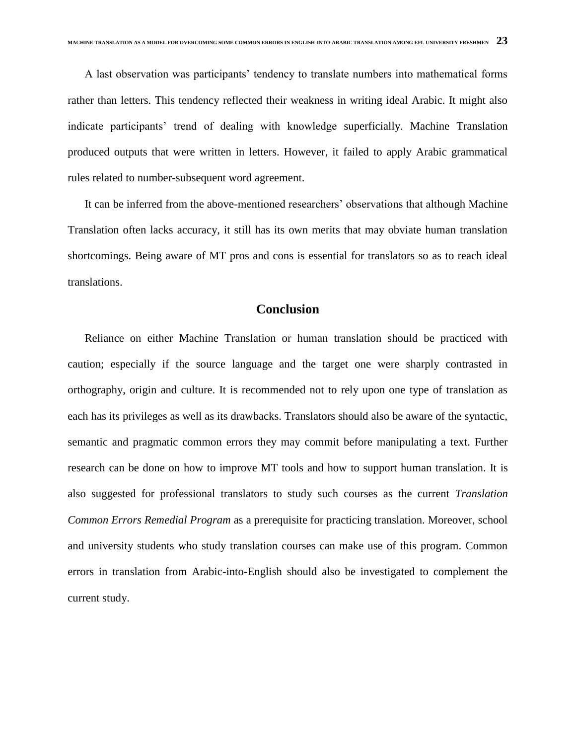A last observation was participants' tendency to translate numbers into mathematical forms rather than letters. This tendency reflected their weakness in writing ideal Arabic. It might also indicate participants' trend of dealing with knowledge superficially. Machine Translation produced outputs that were written in letters. However, it failed to apply Arabic grammatical rules related to number-subsequent word agreement.

 It can be inferred from the above-mentioned researchers' observations that although Machine Translation often lacks accuracy, it still has its own merits that may obviate human translation shortcomings. Being aware of MT pros and cons is essential for translators so as to reach ideal translations.

# **Conclusion**

 Reliance on either Machine Translation or human translation should be practiced with caution; especially if the source language and the target one were sharply contrasted in orthography, origin and culture. It is recommended not to rely upon one type of translation as each has its privileges as well as its drawbacks. Translators should also be aware of the syntactic, semantic and pragmatic common errors they may commit before manipulating a text. Further research can be done on how to improve MT tools and how to support human translation. It is also suggested for professional translators to study such courses as the current *Translation Common Errors Remedial Program* as a prerequisite for practicing translation. Moreover, school and university students who study translation courses can make use of this program. Common errors in translation from Arabic-into-English should also be investigated to complement the current study.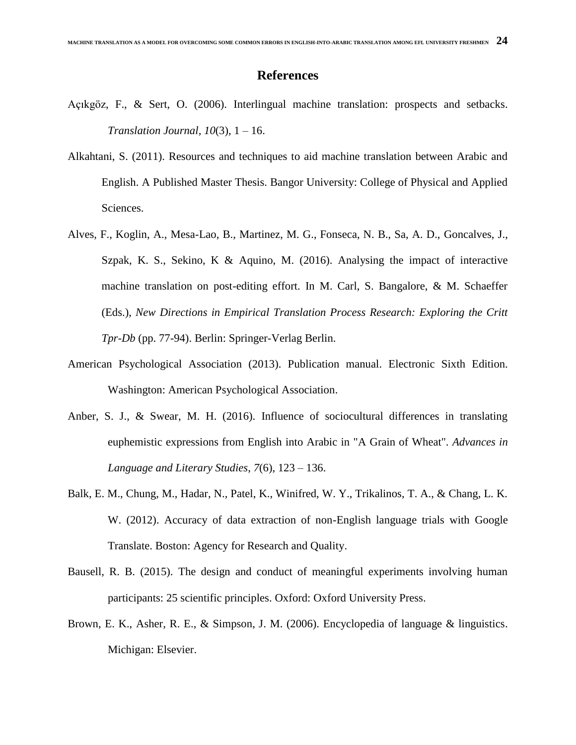# **References**

- Açıkgöz, F., & Sert, O. (2006). Interlingual machine translation: prospects and setbacks. *Translation Journal, 10*(3), 1 – 16.
- Alkahtani, S. (2011). Resources and techniques to aid machine translation between Arabic and English. A Published Master Thesis. Bangor University: College of Physical and Applied Sciences.
- Alves, F., Koglin, A., Mesa-Lao, B., Martinez, M. G., Fonseca, N. B., Sa, A. D., Goncalves, J., Szpak, K. S., Sekino, K & Aquino, M.  $(2016)$ . Analysing the impact of interactive machine translation on post-editing effort. In M. Carl, S. Bangalore, & M. Schaeffer (Eds.), *New Directions in Empirical Translation Process Research: Exploring the Critt Tpr-Db* (pp. 77-94). Berlin: Springer-Verlag Berlin.
- American Psychological Association (2013). Publication manual. Electronic Sixth Edition. Washington: American Psychological Association.
- Anber, S. J., & Swear, M. H. (2016). Influence of sociocultural differences in translating euphemistic expressions from English into Arabic in "A Grain of Wheat". *Advances in Language and Literary Studies*, *7*(6), 123 – 136.
- Balk, E. M., Chung, M., Hadar, N., Patel, K., Winifred, W. Y., Trikalinos, T. A., & Chang, L. K. W. (2012). Accuracy of data extraction of non-English language trials with Google Translate. Boston: Agency for Research and Quality.
- Bausell, R. B. (2015). The design and conduct of meaningful experiments involving human participants: 25 scientific principles. Oxford: Oxford University Press.
- Brown, E. K., Asher, R. E., & Simpson, J. M. (2006). Encyclopedia of language & linguistics. Michigan: Elsevier.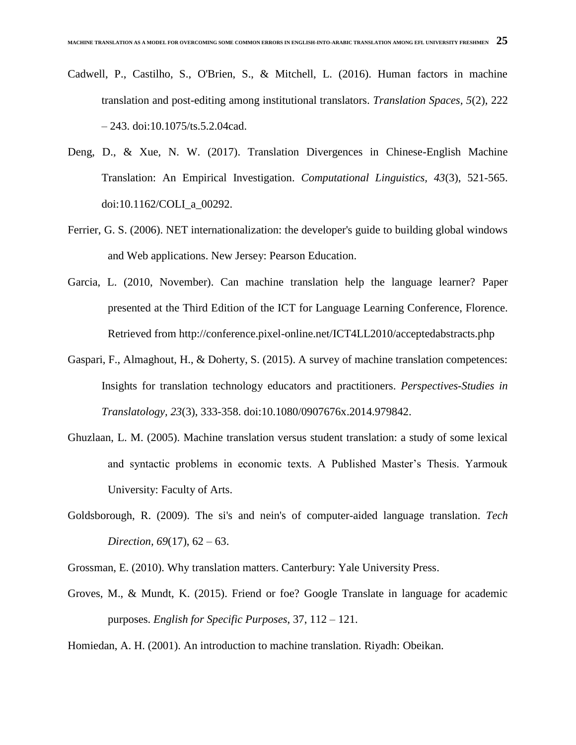- Cadwell, P., Castilho, S., O'Brien, S., & Mitchell, L. (2016). Human factors in machine translation and post-editing among institutional translators. *Translation Spaces, 5*(2), 222 – 243. doi:10.1075/ts.5.2.04cad.
- Deng, D., & Xue, N. W. (2017). Translation Divergences in Chinese-English Machine Translation: An Empirical Investigation. *Computational Linguistics, 43*(3), 521-565. doi:10.1162/COLI\_a\_00292.
- Ferrier, G. S. (2006). NET internationalization: the developer's guide to building global windows and Web applications. New Jersey: Pearson Education.
- Garcia, L. (2010, November). Can machine translation help the language learner? Paper presented at the Third Edition of the ICT for Language Learning Conference, Florence. Retrieved from http://conference.pixel-online.net/ICT4LL2010/acceptedabstracts.php
- Gaspari, F., Almaghout, H., & Doherty, S. (2015). A survey of machine translation competences: Insights for translation technology educators and practitioners. *Perspectives-Studies in Translatology, 23*(3), 333-358. doi:10.1080/0907676x.2014.979842.
- Ghuzlaan, L. M. (2005). Machine translation versus student translation: a study of some lexical and syntactic problems in economic texts. A Published Master's Thesis. Yarmouk University: Faculty of Arts.
- Goldsborough, R. (2009). The si's and nein's of computer-aided language translation. *Tech Direction, 69*(17), 62 – 63.
- Grossman, E. (2010). Why translation matters. Canterbury: Yale University Press.
- Groves, M., & Mundt, K. (2015). Friend or foe? Google Translate in language for academic purposes. *English for Specific Purposes*, 37, 112 – 121.
- Homiedan, A. H. (2001). An introduction to machine translation. Riyadh: Obeikan.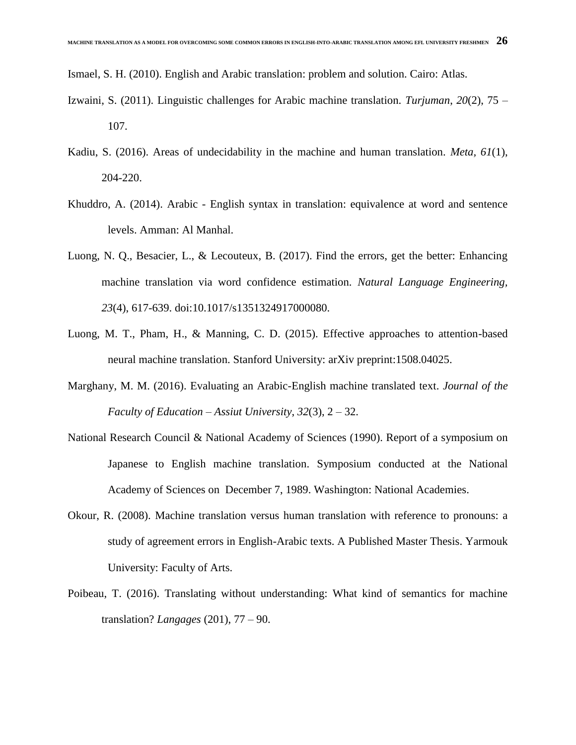Ismael, S. H. (2010). English and Arabic translation: problem and solution. Cairo: Atlas.

- Izwaini, S. (2011). Linguistic challenges for Arabic machine translation. *Turjuman*, *20*(2), 75 107.
- Kadiu, S. (2016). Areas of undecidability in the machine and human translation. *Meta, 61*(1), 204-220.
- Khuddro, A. (2014). Arabic English syntax in translation: equivalence at word and sentence levels. Amman: Al Manhal.
- Luong, N. Q., Besacier, L., & Lecouteux, B. (2017). Find the errors, get the better: Enhancing machine translation via word confidence estimation. *Natural Language Engineering, 23*(4), 617-639. doi:10.1017/s1351324917000080.
- Luong, M. T., Pham, H., & Manning, C. D. (2015). Effective approaches to attention-based neural machine translation. Stanford University: arXiv preprint:1508.04025.
- Marghany, M. M. (2016). Evaluating an Arabic-English machine translated text. *Journal of the Faculty of Education – Assiut University*, *32*(3), 2 – 32.
- National Research Council & National Academy of Sciences (1990). Report of a symposium on Japanese to English machine translation. Symposium conducted at the National Academy of Sciences on December 7, 1989. Washington: National Academies.
- Okour, R. (2008). Machine translation versus human translation with reference to pronouns: a study of agreement errors in English-Arabic texts. A Published Master Thesis. Yarmouk University: Faculty of Arts.
- Poibeau, T. (2016). Translating without understanding: What kind of semantics for machine translation? *Langages* (201), 77 – 90.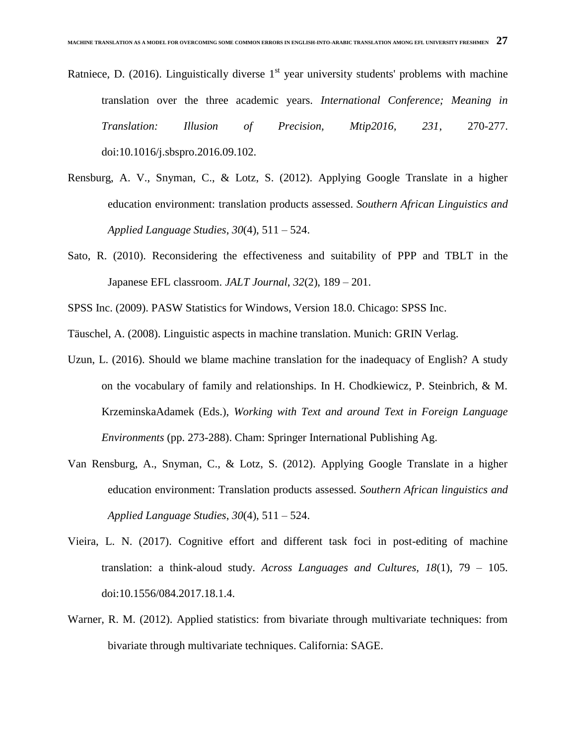- Ratniece, D. (2016). Linguistically diverse  $1<sup>st</sup>$  year university students' problems with machine translation over the three academic years. *International Conference; Meaning in Translation: Illusion of Precision, Mtip2016, 231*, 270-277. doi:10.1016/j.sbspro.2016.09.102.
- Rensburg, A. V., Snyman, C., & Lotz, S. (2012). Applying Google Translate in a higher education environment: translation products assessed. *Southern African Linguistics and Applied Language Studies*, *30*(4), 511 – 524.
- Sato, R. (2010). Reconsidering the effectiveness and suitability of PPP and TBLT in the Japanese EFL classroom. *JALT Journal*, *32*(2), 189 – 201.
- SPSS Inc. (2009). PASW Statistics for Windows, Version 18.0. Chicago: SPSS Inc.
- Täuschel, A. (2008). Linguistic aspects in machine translation. Munich: GRIN Verlag.
- Uzun, L. (2016). Should we blame machine translation for the inadequacy of English? A study on the vocabulary of family and relationships. In H. Chodkiewicz, P. Steinbrich, & M. KrzeminskaAdamek (Eds.), *Working with Text and around Text in Foreign Language Environments* (pp. 273-288). Cham: Springer International Publishing Ag.
- Van Rensburg, A., Snyman, C., & Lotz, S. (2012). Applying Google Translate in a higher education environment: Translation products assessed. *Southern African linguistics and Applied Language Studies*, *30*(4), 511 – 524.
- Vieira, L. N. (2017). Cognitive effort and different task foci in post-editing of machine translation: a think-aloud study. *Across Languages and Cultures, 18*(1), 79 – 105. doi:10.1556/084.2017.18.1.4.
- Warner, R. M. (2012). Applied statistics: from bivariate through multivariate techniques: from bivariate through multivariate techniques. California: SAGE.